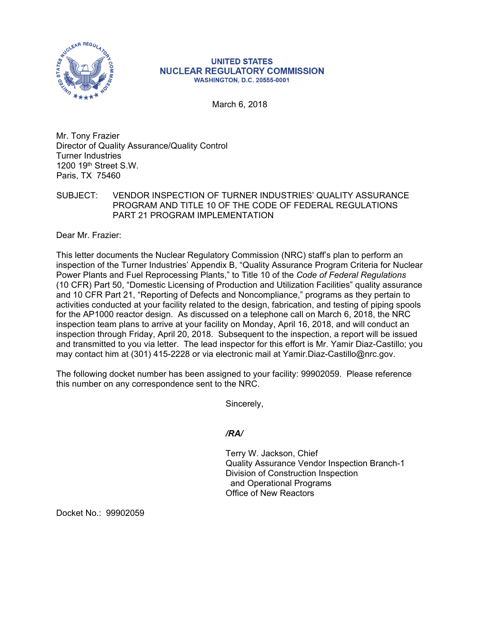

## **UNITED STATES NUCLEAR REGULATORY COMMISSION WASHINGTON, D.C. 20555-0001**

March 6, 2018

Mr. Tony Frazier Director of Quality Assurance/Quality Control Turner Industries 1200 19th Street S.W. Paris, TX 75460

## SUBJECT: VENDOR INSPECTION OF TURNER INDUSTRIES' QUALITY ASSURANCE PROGRAM AND TITLE 10 OF THE CODE OF FEDERAL REGULATIONS PART 21 PROGRAM IMPLEMENTATION

Dear Mr. Frazier:

This letter documents the Nuclear Regulatory Commission (NRC) staff's plan to perform an inspection of the Turner Industries' Appendix B, "Quality Assurance Program Criteria for Nuclear Power Plants and Fuel Reprocessing Plants," to Title 10 of the *Code of Federal Regulations*  (10 CFR) Part 50, "Domestic Licensing of Production and Utilization Facilities" quality assurance and 10 CFR Part 21, "Reporting of Defects and Noncompliance," programs as they pertain to activities conducted at your facility related to the design, fabrication, and testing of piping spools for the AP1000 reactor design. As discussed on a telephone call on March 6, 2018, the NRC inspection team plans to arrive at your facility on Monday, April 16, 2018, and will conduct an inspection through Friday, April 20, 2018. Subsequent to the inspection, a report will be issued and transmitted to you via letter. The lead inspector for this effort is Mr. Yamir Diaz-Castillo; you may contact him at (301) 415-2228 or via electronic mail at Yamir.Diaz-Castillo@nrc.gov.

The following docket number has been assigned to your facility: 99902059. Please reference this number on any correspondence sent to the NRC.

Sincerely,

*/RA/* 

Terry W. Jackson, Chief Quality Assurance Vendor Inspection Branch-1 Division of Construction Inspection and Operational Programs Office of New Reactors

Docket No.: 99902059